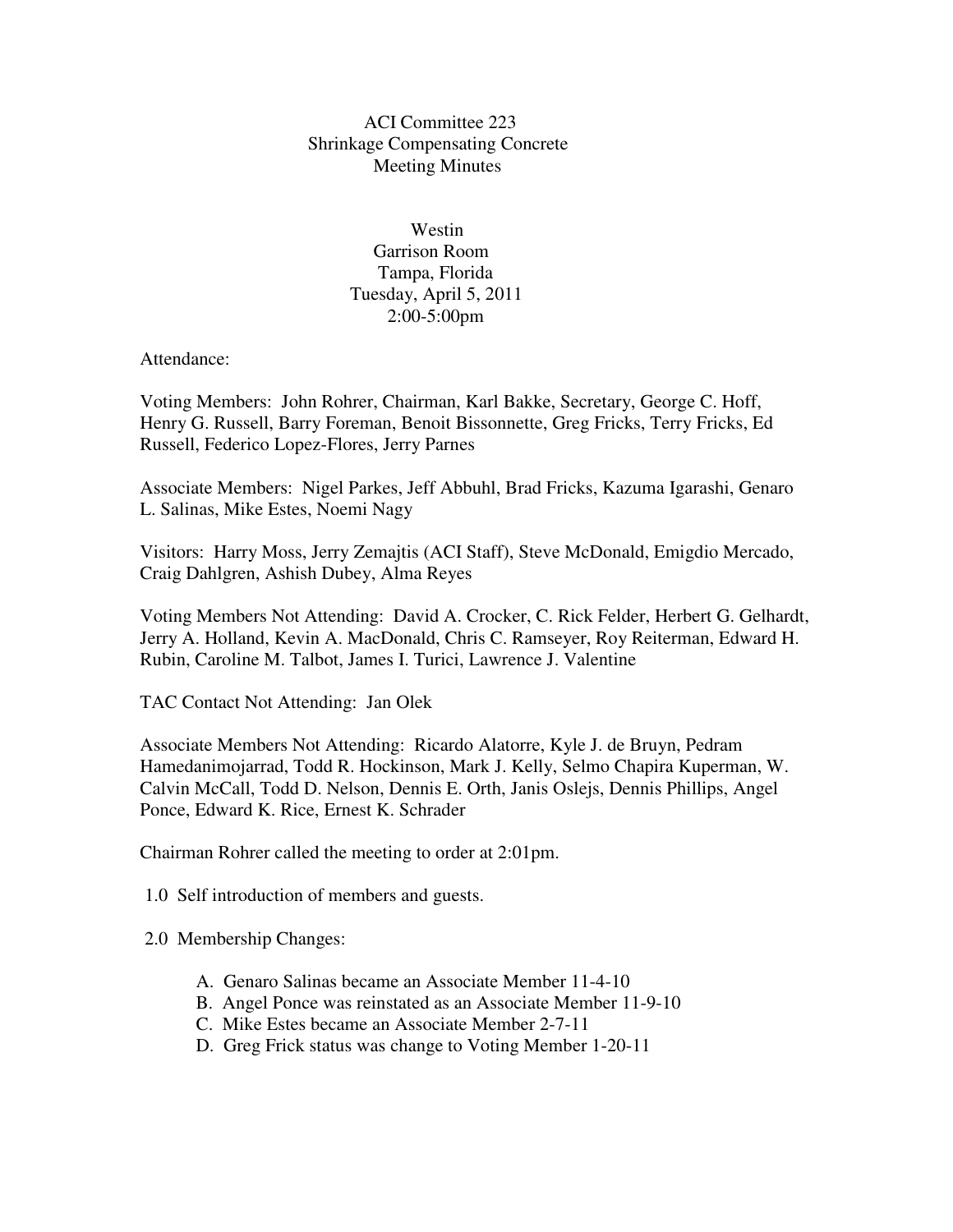## ACI Committee 223 Shrinkage Compensating Concrete Meeting Minutes

 Westin Garrison Room Tampa, Florida Tuesday, April 5, 2011 2:00-5:00pm

Attendance:

Voting Members: John Rohrer, Chairman, Karl Bakke, Secretary, George C. Hoff, Henry G. Russell, Barry Foreman, Benoit Bissonnette, Greg Fricks, Terry Fricks, Ed Russell, Federico Lopez-Flores, Jerry Parnes

Associate Members: Nigel Parkes, Jeff Abbuhl, Brad Fricks, Kazuma Igarashi, Genaro L. Salinas, Mike Estes, Noemi Nagy

Visitors: Harry Moss, Jerry Zemajtis (ACI Staff), Steve McDonald, Emigdio Mercado, Craig Dahlgren, Ashish Dubey, Alma Reyes

Voting Members Not Attending: David A. Crocker, C. Rick Felder, Herbert G. Gelhardt, Jerry A. Holland, Kevin A. MacDonald, Chris C. Ramseyer, Roy Reiterman, Edward H. Rubin, Caroline M. Talbot, James I. Turici, Lawrence J. Valentine

TAC Contact Not Attending: Jan Olek

Associate Members Not Attending: Ricardo Alatorre, Kyle J. de Bruyn, Pedram Hamedanimojarrad, Todd R. Hockinson, Mark J. Kelly, Selmo Chapira Kuperman, W. Calvin McCall, Todd D. Nelson, Dennis E. Orth, Janis Oslejs, Dennis Phillips, Angel Ponce, Edward K. Rice, Ernest K. Schrader

Chairman Rohrer called the meeting to order at 2:01pm.

1.0 Self introduction of members and guests.

2.0 Membership Changes:

- A. Genaro Salinas became an Associate Member 11-4-10
- B. Angel Ponce was reinstated as an Associate Member 11-9-10
- C. Mike Estes became an Associate Member 2-7-11
- D. Greg Frick status was change to Voting Member 1-20-11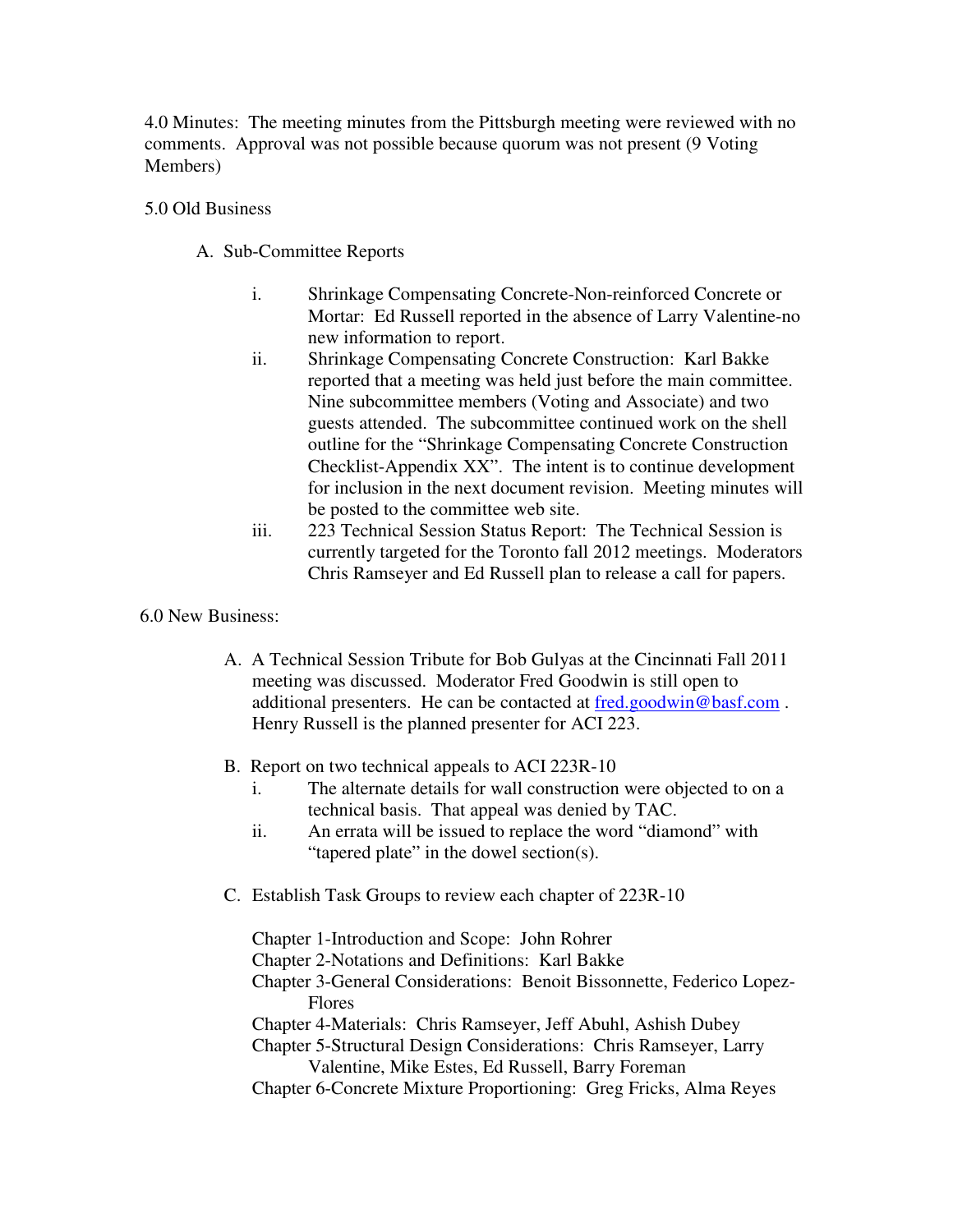4.0 Minutes: The meeting minutes from the Pittsburgh meeting were reviewed with no comments. Approval was not possible because quorum was not present (9 Voting Members)

## 5.0 Old Business

- A. Sub-Committee Reports
	- i. Shrinkage Compensating Concrete-Non-reinforced Concrete or Mortar: Ed Russell reported in the absence of Larry Valentine-no new information to report.
	- ii. Shrinkage Compensating Concrete Construction: Karl Bakke reported that a meeting was held just before the main committee. Nine subcommittee members (Voting and Associate) and two guests attended. The subcommittee continued work on the shell outline for the "Shrinkage Compensating Concrete Construction Checklist-Appendix XX". The intent is to continue development for inclusion in the next document revision. Meeting minutes will be posted to the committee web site.
	- iii. 223 Technical Session Status Report: The Technical Session is currently targeted for the Toronto fall 2012 meetings. Moderators Chris Ramseyer and Ed Russell plan to release a call for papers.

## 6.0 New Business:

- A. A Technical Session Tribute for Bob Gulyas at the Cincinnati Fall 2011 meeting was discussed. Moderator Fred Goodwin is still open to additional presenters. He can be contacted at fred.goodwin@basf.com . Henry Russell is the planned presenter for ACI 223.
- B. Report on two technical appeals to ACI 223R-10
	- i. The alternate details for wall construction were objected to on a technical basis. That appeal was denied by TAC.
	- ii. An errata will be issued to replace the word "diamond" with "tapered plate" in the dowel section(s).
- C. Establish Task Groups to review each chapter of 223R-10

Chapter 1-Introduction and Scope: John Rohrer

- Chapter 2-Notations and Definitions: Karl Bakke
- Chapter 3-General Considerations: Benoit Bissonnette, Federico Lopez- Flores

Chapter 4-Materials: Chris Ramseyer, Jeff Abuhl, Ashish Dubey

- Chapter 5-Structural Design Considerations: Chris Ramseyer, Larry Valentine, Mike Estes, Ed Russell, Barry Foreman
- Chapter 6-Concrete Mixture Proportioning: Greg Fricks, Alma Reyes